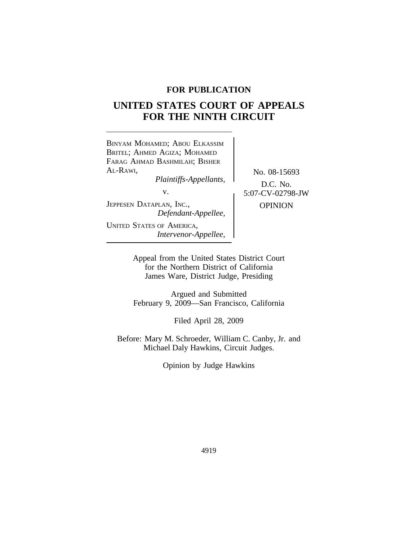# **FOR PUBLICATION**

# **UNITED STATES COURT OF APPEALS FOR THE NINTH CIRCUIT**



Appeal from the United States District Court for the Northern District of California James Ware, District Judge, Presiding

Argued and Submitted February 9, 2009—San Francisco, California

Filed April 28, 2009

Before: Mary M. Schroeder, William C. Canby, Jr. and Michael Daly Hawkins, Circuit Judges.

Opinion by Judge Hawkins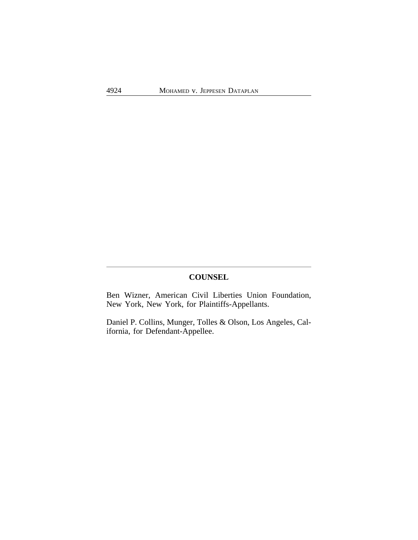# **COUNSEL**

Ben Wizner, American Civil Liberties Union Foundation, New York, New York, for Plaintiffs-Appellants.

Daniel P. Collins, Munger, Tolles & Olson, Los Angeles, California, for Defendant-Appellee.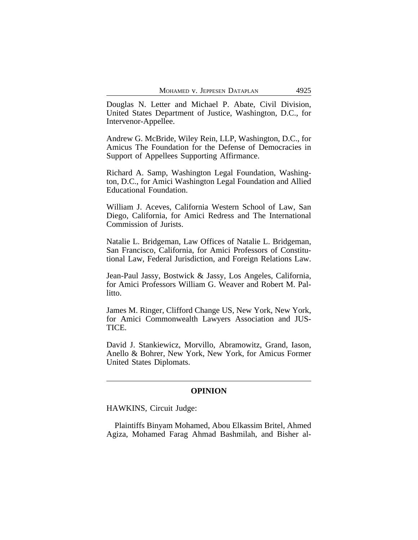Douglas N. Letter and Michael P. Abate, Civil Division, United States Department of Justice, Washington, D.C., for Intervenor-Appellee.

Andrew G. McBride, Wiley Rein, LLP, Washington, D.C., for Amicus The Foundation for the Defense of Democracies in Support of Appellees Supporting Affirmance.

Richard A. Samp, Washington Legal Foundation, Washington, D.C., for Amici Washington Legal Foundation and Allied Educational Foundation.

William J. Aceves, California Western School of Law, San Diego, California, for Amici Redress and The International Commission of Jurists.

Natalie L. Bridgeman, Law Offices of Natalie L. Bridgeman, San Francisco, California, for Amici Professors of Constitutional Law, Federal Jurisdiction, and Foreign Relations Law.

Jean-Paul Jassy, Bostwick & Jassy, Los Angeles, California, for Amici Professors William G. Weaver and Robert M. Pallitto.

James M. Ringer, Clifford Change US, New York, New York, for Amici Commonwealth Lawyers Association and JUS-TICE.

David J. Stankiewicz, Morvillo, Abramowitz, Grand, Iason, Anello & Bohrer, New York, New York, for Amicus Former United States Diplomats.

# **OPINION**

HAWKINS, Circuit Judge:

Plaintiffs Binyam Mohamed, Abou Elkassim Britel, Ahmed Agiza, Mohamed Farag Ahmad Bashmilah, and Bisher al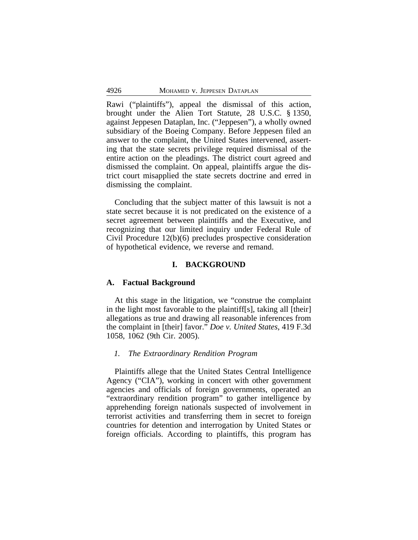Rawi ("plaintiffs"), appeal the dismissal of this action, brought under the Alien Tort Statute, 28 U.S.C. § 1350, against Jeppesen Dataplan, Inc. ("Jeppesen"), a wholly owned subsidiary of the Boeing Company. Before Jeppesen filed an answer to the complaint, the United States intervened, asserting that the state secrets privilege required dismissal of the entire action on the pleadings. The district court agreed and dismissed the complaint. On appeal, plaintiffs argue the district court misapplied the state secrets doctrine and erred in dismissing the complaint.

Concluding that the subject matter of this lawsuit is not a state secret because it is not predicated on the existence of a secret agreement between plaintiffs and the Executive, and recognizing that our limited inquiry under Federal Rule of Civil Procedure 12(b)(6) precludes prospective consideration of hypothetical evidence, we reverse and remand.

#### **I. BACKGROUND**

#### **A. Factual Background**

At this stage in the litigation, we "construe the complaint in the light most favorable to the plaintiff[s], taking all [their] allegations as true and drawing all reasonable inferences from the complaint in [their] favor." *Doe v. United States*, 419 F.3d 1058, 1062 (9th Cir. 2005).

## *1. The Extraordinary Rendition Program*

Plaintiffs allege that the United States Central Intelligence Agency ("CIA"), working in concert with other government agencies and officials of foreign governments, operated an "extraordinary rendition program" to gather intelligence by apprehending foreign nationals suspected of involvement in terrorist activities and transferring them in secret to foreign countries for detention and interrogation by United States or foreign officials. According to plaintiffs, this program has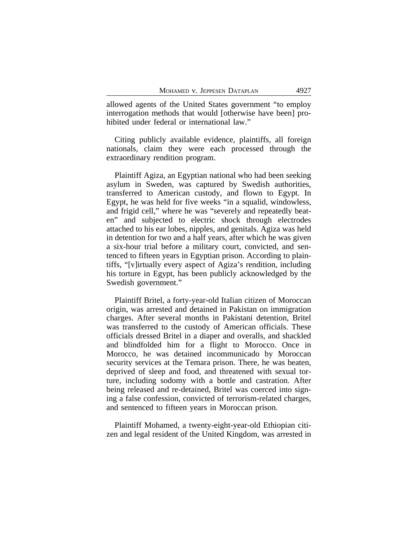allowed agents of the United States government "to employ interrogation methods that would [otherwise have been] prohibited under federal or international law."

Citing publicly available evidence, plaintiffs, all foreign nationals, claim they were each processed through the extraordinary rendition program.

Plaintiff Agiza, an Egyptian national who had been seeking asylum in Sweden, was captured by Swedish authorities, transferred to American custody, and flown to Egypt. In Egypt, he was held for five weeks "in a squalid, windowless, and frigid cell," where he was "severely and repeatedly beaten" and subjected to electric shock through electrodes attached to his ear lobes, nipples, and genitals. Agiza was held in detention for two and a half years, after which he was given a six-hour trial before a military court, convicted, and sentenced to fifteen years in Egyptian prison. According to plaintiffs, "[v]irtually every aspect of Agiza's rendition, including his torture in Egypt, has been publicly acknowledged by the Swedish government."

Plaintiff Britel, a forty-year-old Italian citizen of Moroccan origin, was arrested and detained in Pakistan on immigration charges. After several months in Pakistani detention, Britel was transferred to the custody of American officials. These officials dressed Britel in a diaper and overalls, and shackled and blindfolded him for a flight to Morocco. Once in Morocco, he was detained incommunicado by Moroccan security services at the Temara prison. There, he was beaten, deprived of sleep and food, and threatened with sexual torture, including sodomy with a bottle and castration. After being released and re-detained, Britel was coerced into signing a false confession, convicted of terrorism-related charges, and sentenced to fifteen years in Moroccan prison.

Plaintiff Mohamed, a twenty-eight-year-old Ethiopian citizen and legal resident of the United Kingdom, was arrested in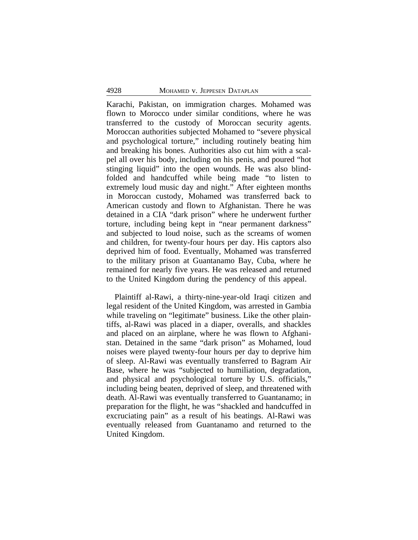Karachi, Pakistan, on immigration charges. Mohamed was flown to Morocco under similar conditions, where he was transferred to the custody of Moroccan security agents. Moroccan authorities subjected Mohamed to "severe physical and psychological torture," including routinely beating him and breaking his bones. Authorities also cut him with a scalpel all over his body, including on his penis, and poured "hot stinging liquid" into the open wounds. He was also blindfolded and handcuffed while being made "to listen to extremely loud music day and night." After eighteen months in Moroccan custody, Mohamed was transferred back to American custody and flown to Afghanistan. There he was detained in a CIA "dark prison" where he underwent further torture, including being kept in "near permanent darkness" and subjected to loud noise, such as the screams of women and children, for twenty-four hours per day. His captors also deprived him of food. Eventually, Mohamed was transferred to the military prison at Guantanamo Bay, Cuba, where he remained for nearly five years. He was released and returned to the United Kingdom during the pendency of this appeal.

Plaintiff al-Rawi, a thirty-nine-year-old Iraqi citizen and legal resident of the United Kingdom, was arrested in Gambia while traveling on "legitimate" business. Like the other plaintiffs, al-Rawi was placed in a diaper, overalls, and shackles and placed on an airplane, where he was flown to Afghanistan. Detained in the same "dark prison" as Mohamed, loud noises were played twenty-four hours per day to deprive him of sleep. Al-Rawi was eventually transferred to Bagram Air Base, where he was "subjected to humiliation, degradation, and physical and psychological torture by U.S. officials," including being beaten, deprived of sleep, and threatened with death. Al-Rawi was eventually transferred to Guantanamo; in preparation for the flight, he was "shackled and handcuffed in excruciating pain" as a result of his beatings. Al-Rawi was eventually released from Guantanamo and returned to the United Kingdom.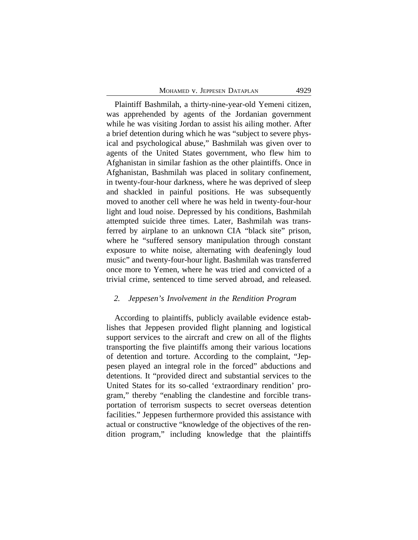Plaintiff Bashmilah, a thirty-nine-year-old Yemeni citizen, was apprehended by agents of the Jordanian government while he was visiting Jordan to assist his ailing mother. After a brief detention during which he was "subject to severe physical and psychological abuse," Bashmilah was given over to agents of the United States government, who flew him to Afghanistan in similar fashion as the other plaintiffs. Once in Afghanistan, Bashmilah was placed in solitary confinement, in twenty-four-hour darkness, where he was deprived of sleep and shackled in painful positions. He was subsequently moved to another cell where he was held in twenty-four-hour light and loud noise. Depressed by his conditions, Bashmilah attempted suicide three times. Later, Bashmilah was transferred by airplane to an unknown CIA "black site" prison, where he "suffered sensory manipulation through constant exposure to white noise, alternating with deafeningly loud music" and twenty-four-hour light. Bashmilah was transferred once more to Yemen, where he was tried and convicted of a trivial crime, sentenced to time served abroad, and released.

#### *2. Jeppesen's Involvement in the Rendition Program*

According to plaintiffs, publicly available evidence establishes that Jeppesen provided flight planning and logistical support services to the aircraft and crew on all of the flights transporting the five plaintiffs among their various locations of detention and torture. According to the complaint, "Jeppesen played an integral role in the forced" abductions and detentions. It "provided direct and substantial services to the United States for its so-called 'extraordinary rendition' program," thereby "enabling the clandestine and forcible transportation of terrorism suspects to secret overseas detention facilities." Jeppesen furthermore provided this assistance with actual or constructive "knowledge of the objectives of the rendition program," including knowledge that the plaintiffs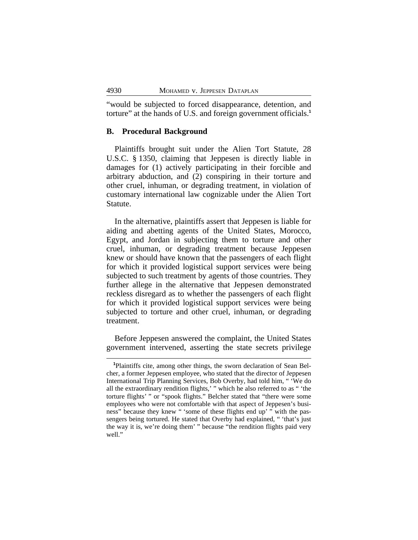"would be subjected to forced disappearance, detention, and torture" at the hands of U.S. and foreign government officials.**<sup>1</sup>**

## **B. Procedural Background**

Plaintiffs brought suit under the Alien Tort Statute, 28 U.S.C. § 1350, claiming that Jeppesen is directly liable in damages for (1) actively participating in their forcible and arbitrary abduction, and (2) conspiring in their torture and other cruel, inhuman, or degrading treatment, in violation of customary international law cognizable under the Alien Tort Statute.

In the alternative, plaintiffs assert that Jeppesen is liable for aiding and abetting agents of the United States, Morocco, Egypt, and Jordan in subjecting them to torture and other cruel, inhuman, or degrading treatment because Jeppesen knew or should have known that the passengers of each flight for which it provided logistical support services were being subjected to such treatment by agents of those countries. They further allege in the alternative that Jeppesen demonstrated reckless disregard as to whether the passengers of each flight for which it provided logistical support services were being subjected to torture and other cruel, inhuman, or degrading treatment.

Before Jeppesen answered the complaint, the United States government intervened, asserting the state secrets privilege

**<sup>1</sup>**Plaintiffs cite, among other things, the sworn declaration of Sean Belcher, a former Jeppesen employee, who stated that the director of Jeppesen International Trip Planning Services, Bob Overby, had told him, " 'We do all the extraordinary rendition flights,' " which he also referred to as " 'the torture flights' " or "spook flights." Belcher stated that "there were some employees who were not comfortable with that aspect of Jeppesen's business" because they knew " 'some of these flights end up' " with the passengers being tortured. He stated that Overby had explained, " 'that's just the way it is, we're doing them' " because "the rendition flights paid very well."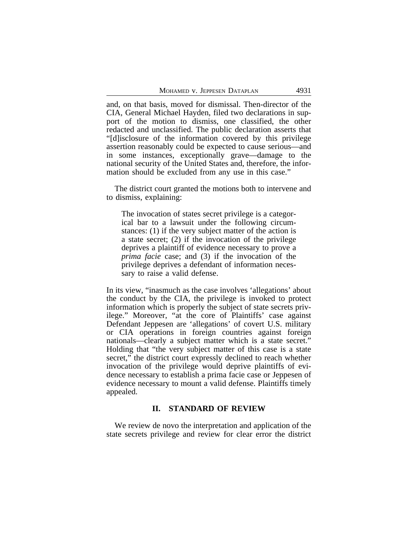and, on that basis, moved for dismissal. Then-director of the CIA, General Michael Hayden, filed two declarations in support of the motion to dismiss, one classified, the other redacted and unclassified. The public declaration asserts that "[d]isclosure of the information covered by this privilege assertion reasonably could be expected to cause serious—and in some instances, exceptionally grave—damage to the national security of the United States and, therefore, the information should be excluded from any use in this case."

The district court granted the motions both to intervene and to dismiss, explaining:

The invocation of states secret privilege is a categorical bar to a lawsuit under the following circumstances: (1) if the very subject matter of the action is a state secret; (2) if the invocation of the privilege deprives a plaintiff of evidence necessary to prove a *prima facie* case; and (3) if the invocation of the privilege deprives a defendant of information necessary to raise a valid defense.

In its view, "inasmuch as the case involves 'allegations' about the conduct by the CIA, the privilege is invoked to protect information which is properly the subject of state secrets privilege." Moreover, "at the core of Plaintiffs' case against Defendant Jeppesen are 'allegations' of covert U.S. military or CIA operations in foreign countries against foreign nationals—clearly a subject matter which is a state secret." Holding that "the very subject matter of this case is a state secret," the district court expressly declined to reach whether invocation of the privilege would deprive plaintiffs of evidence necessary to establish a prima facie case or Jeppesen of evidence necessary to mount a valid defense. Plaintiffs timely appealed.

#### **II. STANDARD OF REVIEW**

We review de novo the interpretation and application of the state secrets privilege and review for clear error the district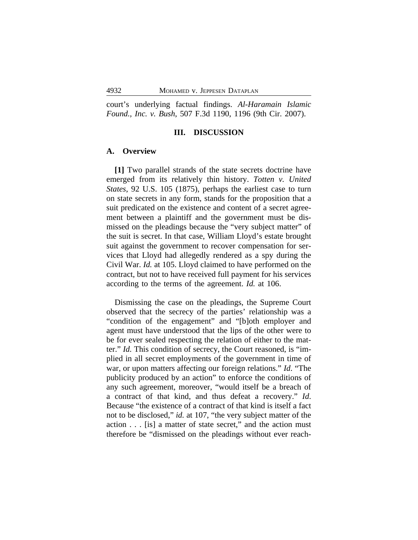court's underlying factual findings. *Al-Haramain Islamic Found., Inc. v. Bush*, 507 F.3d 1190, 1196 (9th Cir. 2007).

## **III. DISCUSSION**

#### **A. Overview**

**[1]** Two parallel strands of the state secrets doctrine have emerged from its relatively thin history. *Totten v. United States*, 92 U.S. 105 (1875), perhaps the earliest case to turn on state secrets in any form, stands for the proposition that a suit predicated on the existence and content of a secret agreement between a plaintiff and the government must be dismissed on the pleadings because the "very subject matter" of the suit is secret. In that case, William Lloyd's estate brought suit against the government to recover compensation for services that Lloyd had allegedly rendered as a spy during the Civil War. *Id.* at 105. Lloyd claimed to have performed on the contract, but not to have received full payment for his services according to the terms of the agreement. *Id.* at 106.

Dismissing the case on the pleadings, the Supreme Court observed that the secrecy of the parties' relationship was a "condition of the engagement" and "[b]oth employer and agent must have understood that the lips of the other were to be for ever sealed respecting the relation of either to the matter." *Id.* This condition of secrecy, the Court reasoned, is "implied in all secret employments of the government in time of war, or upon matters affecting our foreign relations." *Id*. "The publicity produced by an action" to enforce the conditions of any such agreement, moreover, "would itself be a breach of a contract of that kind, and thus defeat a recovery." *Id*. Because "the existence of a contract of that kind is itself a fact not to be disclosed," *id.* at 107, "the very subject matter of the action . . . [is] a matter of state secret," and the action must therefore be "dismissed on the pleadings without ever reach-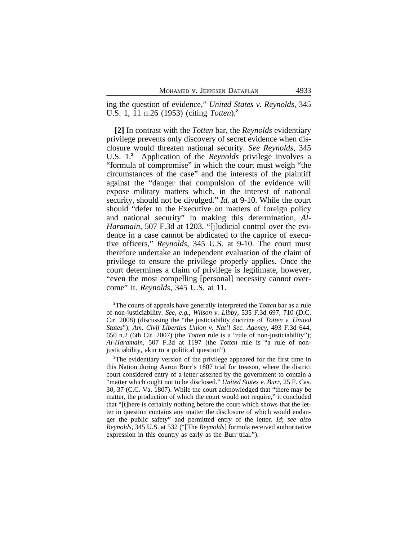ing the question of evidence," *United States v. Reynolds*, 345 U.S. 1, 11 n.26 (1953) (citing *Totten*).**<sup>2</sup>**

**[2]** In contrast with the *Totten* bar, the *Reynolds* evidentiary privilege prevents only discovery of secret evidence when disclosure would threaten national security. *See Reynolds*, 345 U.S. 1.**<sup>3</sup>** Application of the *Reynolds* privilege involves a "formula of compromise" in which the court must weigh "the circumstances of the case" and the interests of the plaintiff against the "danger that compulsion of the evidence will expose military matters which, in the interest of national security, should not be divulged." *Id.* at 9-10. While the court should "defer to the Executive on matters of foreign policy and national security" in making this determination, *Al-Haramain*, 507 F.3d at 1203, "[j]udicial control over the evidence in a case cannot be abdicated to the caprice of executive officers," *Reynolds*, 345 U.S. at 9-10. The court must therefore undertake an independent evaluation of the claim of privilege to ensure the privilege properly applies. Once the court determines a claim of privilege is legitimate, however, "even the most compelling [personal] necessity cannot overcome" it. *Reynolds*, 345 U.S. at 11.

**<sup>2</sup>**The courts of appeals have generally interpreted the *Totten* bar as a rule of non-justiciability. *See, e.g.*, *Wilson v. Libby*, 535 F.3d 697, 710 (D.C. Cir. 2008) (discussing the "the justiciability doctrine of *Totten v. United States*"); *Am. Civil Liberties Union v. Nat'l Sec. Agency*, 493 F.3d 644, 650 n.2 (6th Cir. 2007) (the *Totten* rule is a "rule of non-justiciability"); *Al-Haramain*, 507 F.3d at 1197 (the *Totten* rule is "a rule of nonjusticiability, akin to a political question").

<sup>&</sup>lt;sup>3</sup>The evidentiary version of the privilege appeared for the first time in this Nation during Aaron Burr's 1807 trial for treason, where the district court considered entry of a letter asserted by the government to contain a "matter which ought not to be disclosed." *United States v. Burr*, 25 F. Cas. 30, 37 (C.C. Va. 1807). While the court acknowledged that "there may be matter, the production of which the court would not require," it concluded that "[t]here is certainly nothing before the court which shows that the letter in question contains any matter the disclosure of which would endanger the public safety" and permitted entry of the letter. *Id*; *see also Reynolds*, 345 U.S. at 532 ("[The *Reynolds*] formula received authoritative expression in this country as early as the Burr trial.").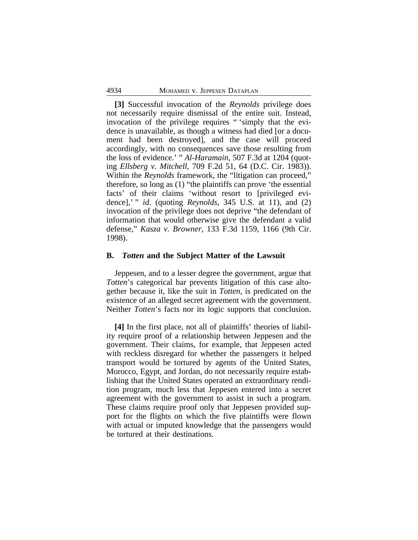**[3]** Successful invocation of the *Reynolds* privilege does not necessarily require dismissal of the entire suit. Instead, invocation of the privilege requires " 'simply that the evidence is unavailable, as though a witness had died [or a document had been destroyed], and the case will proceed accordingly, with no consequences save those resulting from the loss of evidence.' " *Al-Haramain*, 507 F.3d at 1204 (quoting *Ellsberg v. Mitchell*, 709 F.2d 51, 64 (D.C. Cir. 1983)). Within the *Reynolds* framework, the "litigation can proceed," therefore, so long as (1) "the plaintiffs can prove 'the essential facts' of their claims 'without resort to [privileged evidence],' " *id*. (quoting *Reynolds*, 345 U.S. at 11), and (2) invocation of the privilege does not deprive "the defendant of information that would otherwise give the defendant a valid defense," *Kasza v. Browner*, 133 F.3d 1159, 1166 (9th Cir. 1998).

#### **B.** *Totten* **and the Subject Matter of the Lawsuit**

Jeppesen, and to a lesser degree the government, argue that *Totten*'s categorical bar prevents litigation of this case altogether because it, like the suit in *Totten*, is predicated on the existence of an alleged secret agreement with the government. Neither *Totten*'s facts nor its logic supports that conclusion.

**[4]** In the first place, not all of plaintiffs' theories of liability require proof of a relationship between Jeppesen and the government. Their claims, for example, that Jeppesen acted with reckless disregard for whether the passengers it helped transport would be tortured by agents of the United States, Morocco, Egypt, and Jordan, do not necessarily require establishing that the United States operated an extraordinary rendition program, much less that Jeppesen entered into a secret agreement with the government to assist in such a program. These claims require proof only that Jeppesen provided support for the flights on which the five plaintiffs were flown with actual or imputed knowledge that the passengers would be tortured at their destinations.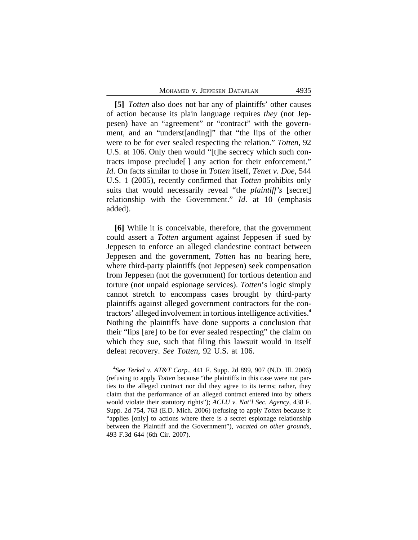**[5]** *Totten* also does not bar any of plaintiffs' other causes of action because its plain language requires *they* (not Jeppesen) have an "agreement" or "contract" with the government, and an "underst[anding]" that "the lips of the other were to be for ever sealed respecting the relation." *Totten*, 92 U.S. at 106. Only then would "[t]he secrecy which such contracts impose preclude[ ] any action for their enforcement." *Id*. On facts similar to those in *Totten* itself, *Tenet v. Doe*, 544 U.S. 1 (2005), recently confirmed that *Totten* prohibits only suits that would necessarily reveal "the *plaintiff's* [secret] relationship with the Government." *Id*. at 10 (emphasis added).

**[6]** While it is conceivable, therefore, that the government could assert a *Totten* argument against Jeppesen if sued by Jeppesen to enforce an alleged clandestine contract between Jeppesen and the government, *Totten* has no bearing here, where third-party plaintiffs (not Jeppesen) seek compensation from Jeppesen (not the government) for tortious detention and torture (not unpaid espionage services). *Totten*'s logic simply cannot stretch to encompass cases brought by third-party plaintiffs against alleged government contractors for the contractors' alleged involvement in tortious intelligence activities.**<sup>4</sup>** Nothing the plaintiffs have done supports a conclusion that their "lips [are] to be for ever sealed respecting" the claim on which they sue, such that filing this lawsuit would in itself defeat recovery. *See Totten*, 92 U.S. at 106.

**<sup>4</sup>** *See Terkel v. AT&T Corp*., 441 F. Supp. 2d 899, 907 (N.D. Ill. 2006) (refusing to apply *Totten* because "the plaintiffs in this case were not parties to the alleged contract nor did they agree to its terms; rather, they claim that the performance of an alleged contract entered into by others would violate their statutory rights"); *ACLU v. Nat'l Sec. Agency*, 438 F. Supp. 2d 754, 763 (E.D. Mich. 2006) (refusing to apply *Totten* because it "applies [only] to actions where there is a secret espionage relationship between the Plaintiff and the Government"), *vacated on other grounds*, 493 F.3d 644 (6th Cir. 2007).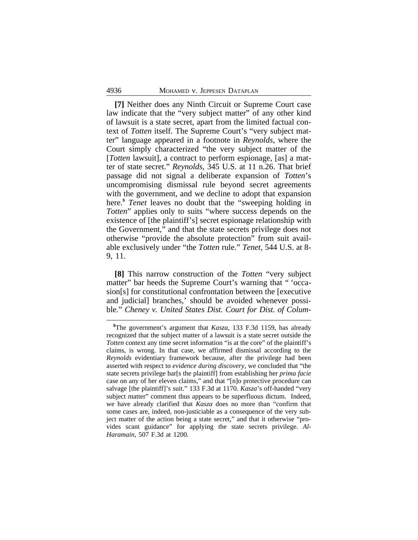**[7]** Neither does any Ninth Circuit or Supreme Court case law indicate that the "very subject matter" of any other kind of lawsuit is a state secret, apart from the limited factual context of *Totten* itself. The Supreme Court's "very subject matter" language appeared in a footnote in *Reynolds*, where the Court simply characterized "the very subject matter of the [*Totten* lawsuit], a contract to perform espionage, [as] a matter of state secret." *Reynolds*, 345 U.S. at 11 n.26. That brief passage did not signal a deliberate expansion of *Totten*'s uncompromising dismissal rule beyond secret agreements with the government, and we decline to adopt that expansion here.**<sup>5</sup>** *Tenet* leaves no doubt that the "sweeping holding in *Totten*" applies only to suits "where success depends on the existence of [the plaintiff's] secret espionage relationship with the Government," and that the state secrets privilege does not otherwise "provide the absolute protection" from suit available exclusively under "the *Totten* rule." *Tenet*, 544 U.S. at 8- 9, 11.

**[8]** This narrow construction of the *Totten* "very subject matter" bar heeds the Supreme Court's warning that " 'occasion[s] for constitutional confrontation between the [executive and judicial] branches,' should be avoided whenever possible." *Cheney v. United States Dist. Court for Dist. of Colum-*

**<sup>5</sup>**The government's argument that *Kasza*, 133 F.3d 1159, has already recognized that the subject matter of a lawsuit is a state secret outside the *Totten* context any time secret information "is at the core" of the plaintiff's claims, is wrong. In that case, we affirmed dismissal according to the *Reynolds* evidentiary framework because, after the privilege had been asserted with respect to *evidence during discovery*, we concluded that "the state secrets privilege bar[s the plaintiff] from establishing her *prima facie* case on any of her eleven claims," and that "[n]o protective procedure can salvage [the plaintiff]'s suit." 133 F.3d at 1170. *Kasza*'s off-handed "very subject matter" comment thus appears to be superfluous dictum. Indeed, we have already clarified that *Kasza* does no more than "confirm that some cases are, indeed, non-justiciable as a consequence of the very subject matter of the action being a state secret," and that it otherwise "provides scant guidance" for applying the state secrets privilege. *Al-Haramain*, 507 F.3d at 1200.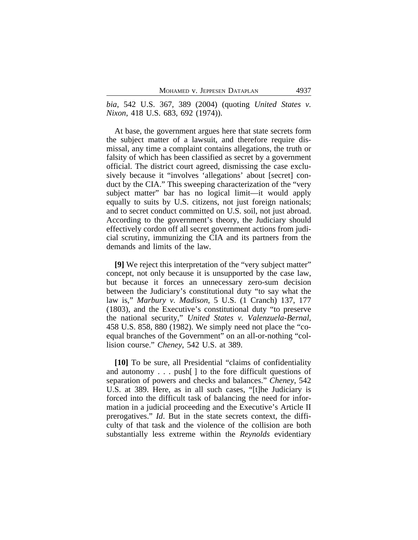*bia*, 542 U.S. 367, 389 (2004) (quoting *United States v. Nixon*, 418 U.S. 683, 692 (1974)).

At base, the government argues here that state secrets form the subject matter of a lawsuit, and therefore require dismissal, any time a complaint contains allegations, the truth or falsity of which has been classified as secret by a government official. The district court agreed, dismissing the case exclusively because it "involves 'allegations' about [secret] conduct by the CIA." This sweeping characterization of the "very subject matter" bar has no logical limit—it would apply equally to suits by U.S. citizens, not just foreign nationals; and to secret conduct committed on U.S. soil, not just abroad. According to the government's theory, the Judiciary should effectively cordon off all secret government actions from judicial scrutiny, immunizing the CIA and its partners from the demands and limits of the law.

**[9]** We reject this interpretation of the "very subject matter" concept, not only because it is unsupported by the case law, but because it forces an unnecessary zero-sum decision between the Judiciary's constitutional duty "to say what the law is," *Marbury v. Madison*, 5 U.S. (1 Cranch) 137, 177 (1803), and the Executive's constitutional duty "to preserve the national security," *United States v. Valenzuela-Bernal*, 458 U.S. 858, 880 (1982). We simply need not place the "coequal branches of the Government" on an all-or-nothing "collision course." *Cheney*, 542 U.S. at 389.

**[10]** To be sure, all Presidential "claims of confidentiality and autonomy . . . push[ ] to the fore difficult questions of separation of powers and checks and balances." *Cheney*, 542 U.S. at 389. Here, as in all such cases, "[t]he Judiciary is forced into the difficult task of balancing the need for information in a judicial proceeding and the Executive's Article II prerogatives." *Id*. But in the state secrets context, the difficulty of that task and the violence of the collision are both substantially less extreme within the *Reynolds* evidentiary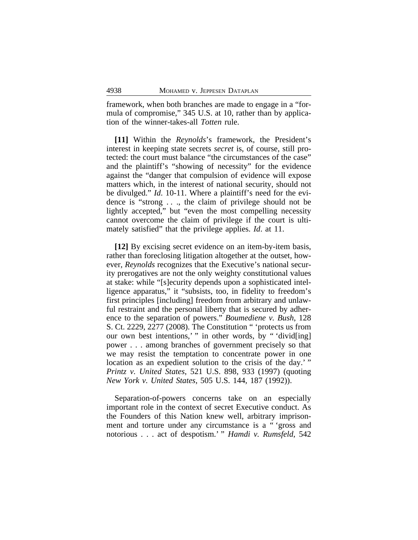framework, when both branches are made to engage in a "formula of compromise," 345 U.S. at 10, rather than by application of the winner-takes-all *Totten* rule.

**[11]** Within the *Reynolds*'s framework, the President's interest in keeping state secrets *secret* is, of course, still protected: the court must balance "the circumstances of the case" and the plaintiff's "showing of necessity" for the evidence against the "danger that compulsion of evidence will expose matters which, in the interest of national security, should not be divulged." *Id*. 10-11. Where a plaintiff's need for the evidence is "strong ..., the claim of privilege should not be lightly accepted," but "even the most compelling necessity cannot overcome the claim of privilege if the court is ultimately satisfied" that the privilege applies. *Id*. at 11.

**[12]** By excising secret evidence on an item-by-item basis, rather than foreclosing litigation altogether at the outset, however, *Reynolds* recognizes that the Executive's national security prerogatives are not the only weighty constitutional values at stake: while "[s]ecurity depends upon a sophisticated intelligence apparatus," it "subsists, too, in fidelity to freedom's first principles [including] freedom from arbitrary and unlawful restraint and the personal liberty that is secured by adherence to the separation of powers." *Boumediene v. Bush*, 128 S. Ct. 2229, 2277 (2008). The Constitution " 'protects us from our own best intentions,'" in other words, by "'divid[ing] power . . . among branches of government precisely so that we may resist the temptation to concentrate power in one location as an expedient solution to the crisis of the day.' " *Printz v. United States*, 521 U.S. 898, 933 (1997) (quoting *New York v. United States*, 505 U.S. 144, 187 (1992)).

Separation-of-powers concerns take on an especially important role in the context of secret Executive conduct. As the Founders of this Nation knew well, arbitrary imprisonment and torture under any circumstance is a " 'gross and notorious . . . act of despotism.' " *Hamdi v. Rumsfeld*, 542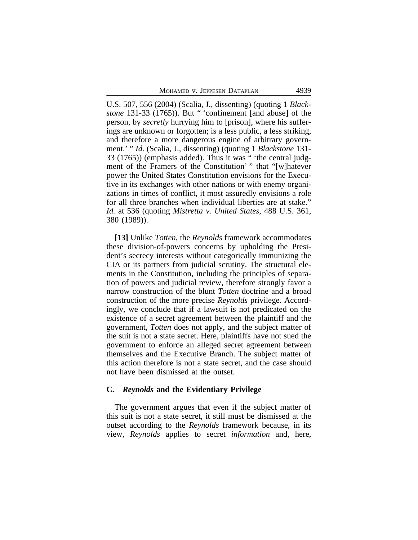U.S. 507, 556 (2004) (Scalia, J., dissenting) (quoting 1 *Blackstone* 131-33 (1765)). But " 'confinement [and abuse] of the person, by *secretly* hurrying him to [prison], where his sufferings are unknown or forgotten; is a less public, a less striking, and therefore a more dangerous engine of arbitrary government.' " *Id*. (Scalia, J., dissenting) (quoting 1 *Blackstone* 131- 33 (1765)) (emphasis added). Thus it was " 'the central judgment of the Framers of the Constitution' " that "[w]hatever power the United States Constitution envisions for the Executive in its exchanges with other nations or with enemy organizations in times of conflict, it most assuredly envisions a role for all three branches when individual liberties are at stake." *Id.* at 536 (quoting *Mistretta v. United States*, 488 U.S. 361, 380 (1989)).

**[13]** Unlike *Totten*, the *Reynolds* framework accommodates these division-of-powers concerns by upholding the President's secrecy interests without categorically immunizing the CIA or its partners from judicial scrutiny. The structural elements in the Constitution, including the principles of separation of powers and judicial review, therefore strongly favor a narrow construction of the blunt *Totten* doctrine and a broad construction of the more precise *Reynolds* privilege. Accordingly, we conclude that if a lawsuit is not predicated on the existence of a secret agreement between the plaintiff and the government, *Totten* does not apply, and the subject matter of the suit is not a state secret. Here, plaintiffs have not sued the government to enforce an alleged secret agreement between themselves and the Executive Branch. The subject matter of this action therefore is not a state secret, and the case should not have been dismissed at the outset.

## **C.** *Reynolds* **and the Evidentiary Privilege**

The government argues that even if the subject matter of this suit is not a state secret, it still must be dismissed at the outset according to the *Reynolds* framework because, in its view, *Reynolds* applies to secret *information* and, here,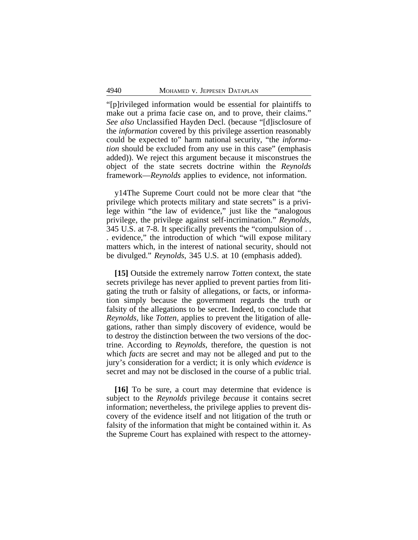"[p]rivileged information would be essential for plaintiffs to make out a prima facie case on, and to prove, their claims." *See also* Unclassified Hayden Decl. (because "[d]isclosure of the *information* covered by this privilege assertion reasonably could be expected to" harm national security, "the *information* should be excluded from any use in this case" (emphasis added)). We reject this argument because it misconstrues the object of the state secrets doctrine within the *Reynolds* framework—*Reynolds* applies to evidence, not information.

y14The Supreme Court could not be more clear that "the privilege which protects military and state secrets" is a privilege within "the law of evidence," just like the "analogous privilege, the privilege against self-incrimination." *Reynolds*, 345 U.S. at 7-8. It specifically prevents the "compulsion of . . . evidence," the introduction of which "will expose military matters which, in the interest of national security, should not be divulged." *Reynolds*, 345 U.S. at 10 (emphasis added).

**[15]** Outside the extremely narrow *Totten* context, the state secrets privilege has never applied to prevent parties from litigating the truth or falsity of allegations, or facts, or information simply because the government regards the truth or falsity of the allegations to be secret. Indeed, to conclude that *Reynolds*, like *Totten*, applies to prevent the litigation of allegations, rather than simply discovery of evidence, would be to destroy the distinction between the two versions of the doctrine. According to *Reynolds*, therefore, the question is not which *facts* are secret and may not be alleged and put to the jury's consideration for a verdict; it is only which *evidence* is secret and may not be disclosed in the course of a public trial.

**[16]** To be sure, a court may determine that evidence is subject to the *Reynolds* privilege *because* it contains secret information; nevertheless, the privilege applies to prevent discovery of the evidence itself and not litigation of the truth or falsity of the information that might be contained within it. As the Supreme Court has explained with respect to the attorney-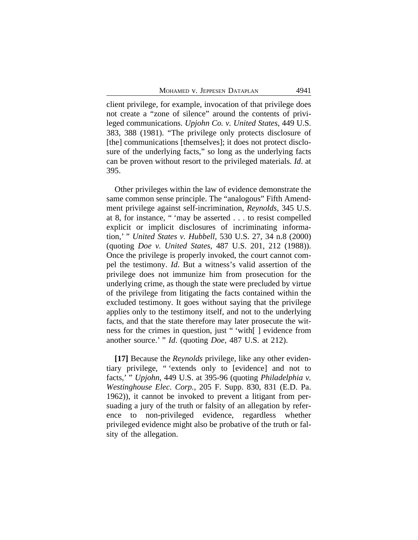client privilege, for example, invocation of that privilege does not create a "zone of silence" around the contents of privileged communications. *Upjohn Co. v. United States*, 449 U.S. 383, 388 (1981). "The privilege only protects disclosure of [the] communications [themselves]; it does not protect disclosure of the underlying facts," so long as the underlying facts can be proven without resort to the privileged materials. *Id*. at 395.

Other privileges within the law of evidence demonstrate the same common sense principle. The "analogous" Fifth Amendment privilege against self-incrimination, *Reynolds*, 345 U.S. at 8, for instance, " 'may be asserted . . . to resist compelled explicit or implicit disclosures of incriminating information,' " *United States v. Hubbell*, 530 U.S. 27, 34 n.8 (2000) (quoting *Doe v. United States*, 487 U.S. 201, 212 (1988)). Once the privilege is properly invoked, the court cannot compel the testimony. *Id*. But a witness's valid assertion of the privilege does not immunize him from prosecution for the underlying crime, as though the state were precluded by virtue of the privilege from litigating the facts contained within the excluded testimony. It goes without saying that the privilege applies only to the testimony itself, and not to the underlying facts, and that the state therefore may later prosecute the witness for the crimes in question, just " 'with[ ] evidence from another source.' " *Id*. (quoting *Doe*, 487 U.S. at 212).

**[17]** Because the *Reynolds* privilege, like any other evidentiary privilege, " 'extends only to [evidence] and not to facts,' " *Upjohn*, 449 U.S. at 395-96 (quoting *Philadelphia v. Westinghouse Elec. Corp.*, 205 F. Supp. 830, 831 (E.D. Pa. 1962)), it cannot be invoked to prevent a litigant from persuading a jury of the truth or falsity of an allegation by reference to non-privileged evidence, regardless whether privileged evidence might also be probative of the truth or falsity of the allegation.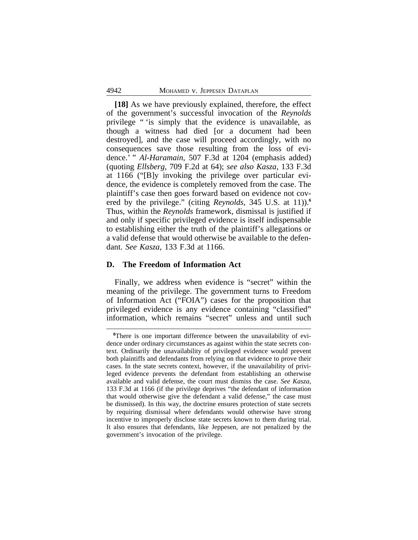**[18]** As we have previously explained, therefore, the effect of the government's successful invocation of the *Reynolds* privilege " 'is simply that the evidence is unavailable, as though a witness had died [or a document had been destroyed], and the case will proceed accordingly, with no consequences save those resulting from the loss of evidence.' " *Al-Haramain*, 507 F.3d at 1204 (emphasis added) (quoting *Ellsberg*, 709 F.2d at 64); *see also Kasza*, 133 F.3d at 1166 ("[B]y invoking the privilege over particular evidence, the evidence is completely removed from the case. The plaintiff's case then goes forward based on evidence not covered by the privilege." (citing *Reynolds*, 345 U.S. at 11)).**<sup>6</sup>** Thus, within the *Reynolds* framework, dismissal is justified if and only if specific privileged evidence is itself indispensable to establishing either the truth of the plaintiff's allegations or a valid defense that would otherwise be available to the defendant. *See Kasza*, 133 F.3d at 1166.

## **D. The Freedom of Information Act**

Finally, we address when evidence is "secret" within the meaning of the privilege. The government turns to Freedom of Information Act ("FOIA") cases for the proposition that privileged evidence is any evidence containing "classified" information, which remains "secret" unless and until such

**<sup>6</sup>**There is one important difference between the unavailability of evidence under ordinary circumstances as against within the state secrets context. Ordinarily the unavailability of privileged evidence would prevent both plaintiffs and defendants from relying on that evidence to prove their cases. In the state secrets context, however, if the unavailability of privileged evidence prevents the defendant from establishing an otherwise available and valid defense, the court must dismiss the case. *See Kasza*, 133 F.3d at 1166 (if the privilege deprives "the defendant of information that would otherwise give the defendant a valid defense," the case must be dismissed). In this way, the doctrine ensures protection of state secrets by requiring dismissal where defendants would otherwise have strong incentive to improperly disclose state secrets known to them during trial. It also ensures that defendants, like Jeppesen, are not penalized by the government's invocation of the privilege.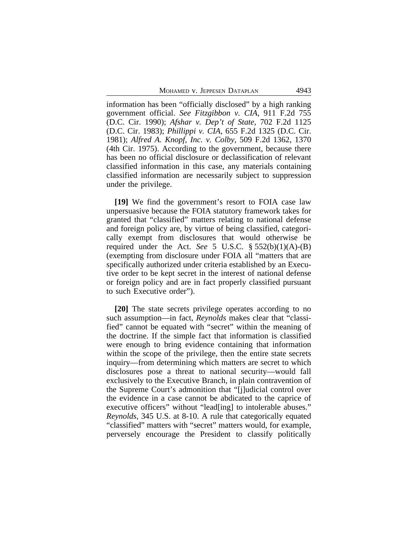MOHAMED V. JEPPESEN DATAPLAN 4943

information has been "officially disclosed" by a high ranking government official. *See Fitzgibbon v. CIA*, 911 F.2d 755 (D.C. Cir. 1990); *Afshar v. Dep't of State*, 702 F.2d 1125 (D.C. Cir. 1983); *Phillippi v. CIA*, 655 F.2d 1325 (D.C. Cir. 1981); *Alfred A. Knopf, Inc. v. Colby*, 509 F.2d 1362, 1370 (4th Cir. 1975). According to the government, because there has been no official disclosure or declassification of relevant classified information in this case, any materials containing classified information are necessarily subject to suppression under the privilege.

**[19]** We find the government's resort to FOIA case law unpersuasive because the FOIA statutory framework takes for granted that "classified" matters relating to national defense and foreign policy are, by virtue of being classified, categorically exempt from disclosures that would otherwise be required under the Act. *See* 5 U.S.C. § 552(b)(1)(A)-(B) (exempting from disclosure under FOIA all "matters that are specifically authorized under criteria established by an Executive order to be kept secret in the interest of national defense or foreign policy and are in fact properly classified pursuant to such Executive order").

**[20]** The state secrets privilege operates according to no such assumption—in fact, *Reynolds* makes clear that "classified" cannot be equated with "secret" within the meaning of the doctrine. If the simple fact that information is classified were enough to bring evidence containing that information within the scope of the privilege, then the entire state secrets inquiry—from determining which matters are secret to which disclosures pose a threat to national security—would fall exclusively to the Executive Branch, in plain contravention of the Supreme Court's admonition that "[j]udicial control over the evidence in a case cannot be abdicated to the caprice of executive officers" without "lead[ing] to intolerable abuses." *Reynolds*, 345 U.S. at 8-10. A rule that categorically equated "classified" matters with "secret" matters would, for example, perversely encourage the President to classify politically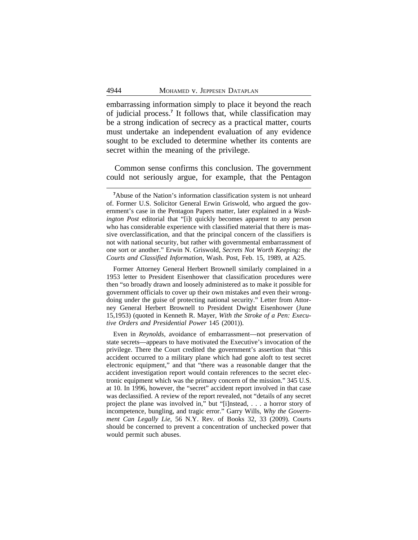embarrassing information simply to place it beyond the reach of judicial process.**<sup>7</sup>** It follows that, while classification may be a strong indication of secrecy as a practical matter, courts must undertake an independent evaluation of any evidence sought to be excluded to determine whether its contents are secret within the meaning of the privilege.

Common sense confirms this conclusion. The government could not seriously argue, for example, that the Pentagon

Former Attorney General Herbert Brownell similarly complained in a 1953 letter to President Eisenhower that classification procedures were then "so broadly drawn and loosely administered as to make it possible for government officials to cover up their own mistakes and even their wrongdoing under the guise of protecting national security." Letter from Attorney General Herbert Brownell to President Dwight Eisenhower (June 15,1953) (quoted in Kenneth R. Mayer, *With the Stroke of a Pen: Executive Orders and Presidential Power* 145 (2001)).

Even in *Reynolds*, avoidance of embarrassment—not preservation of state secrets—appears to have motivated the Executive's invocation of the privilege. There the Court credited the government's assertion that "this accident occurred to a military plane which had gone aloft to test secret electronic equipment," and that "there was a reasonable danger that the accident investigation report would contain references to the secret electronic equipment which was the primary concern of the mission." 345 U.S. at 10. In 1996, however, the "secret" accident report involved in that case was declassified. A review of the report revealed, not "details of any secret project the plane was involved in," but "[i]nstead, . . . a horror story of incompetence, bungling, and tragic error." Garry Wills, *Why the Government Can Legally Lie*, 56 N.Y. Rev. of Books 32, 33 (2009). Courts should be concerned to prevent a concentration of unchecked power that would permit such abuses.

**<sup>7</sup>**Abuse of the Nation's information classification system is not unheard of. Former U.S. Solicitor General Erwin Griswold, who argued the government's case in the Pentagon Papers matter, later explained in a *Washington Post* editorial that "[i]t quickly becomes apparent to any person who has considerable experience with classified material that there is massive overclassification, and that the principal concern of the classifiers is not with national security, but rather with governmental embarrassment of one sort or another." Erwin N. Griswold, *Secrets Not Worth Keeping: the Courts and Classified Information*, Wash. Post, Feb. 15, 1989, at A25.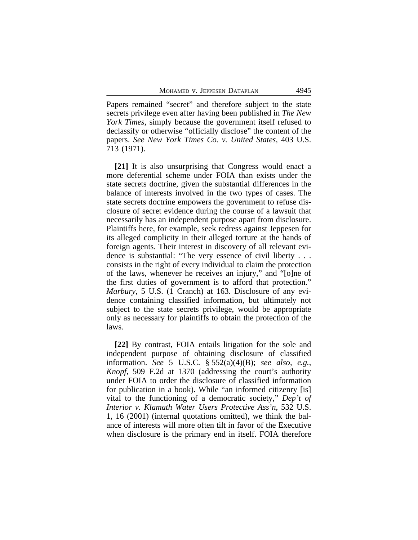Papers remained "secret" and therefore subject to the state secrets privilege even after having been published in *The New York Times*, simply because the government itself refused to declassify or otherwise "officially disclose" the content of the papers. *See New York Times Co. v. United States*, 403 U.S. 713 (1971).

**[21]** It is also unsurprising that Congress would enact a more deferential scheme under FOIA than exists under the state secrets doctrine, given the substantial differences in the balance of interests involved in the two types of cases. The state secrets doctrine empowers the government to refuse disclosure of secret evidence during the course of a lawsuit that necessarily has an independent purpose apart from disclosure. Plaintiffs here, for example, seek redress against Jeppesen for its alleged complicity in their alleged torture at the hands of foreign agents. Their interest in discovery of all relevant evidence is substantial: "The very essence of civil liberty . . . consists in the right of every individual to claim the protection of the laws, whenever he receives an injury," and "[o]ne of the first duties of government is to afford that protection." *Marbury*, 5 U.S. (1 Cranch) at 163. Disclosure of any evidence containing classified information, but ultimately not subject to the state secrets privilege, would be appropriate only as necessary for plaintiffs to obtain the protection of the laws.

**[22]** By contrast, FOIA entails litigation for the sole and independent purpose of obtaining disclosure of classified information. *See* 5 U.S.C. § 552(a)(4)(B); *see also, e.g.*, *Knopf*, 509 F.2d at 1370 (addressing the court's authority under FOIA to order the disclosure of classified information for publication in a book). While "an informed citizenry [is] vital to the functioning of a democratic society," *Dep't of Interior v. Klamath Water Users Protective Ass'n*, 532 U.S. 1, 16 (2001) (internal quotations omitted), we think the balance of interests will more often tilt in favor of the Executive when disclosure is the primary end in itself. FOIA therefore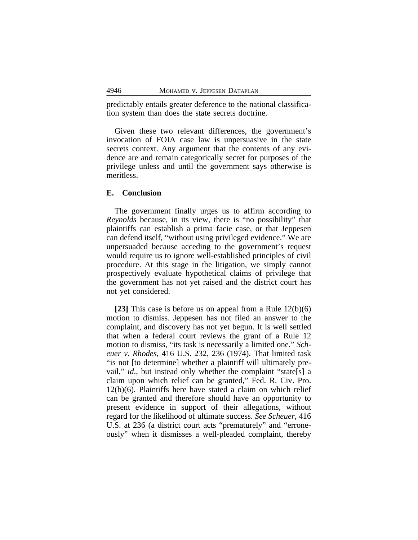predictably entails greater deference to the national classification system than does the state secrets doctrine.

Given these two relevant differences, the government's invocation of FOIA case law is unpersuasive in the state secrets context. Any argument that the contents of any evidence are and remain categorically secret for purposes of the privilege unless and until the government says otherwise is meritless.

#### **E. Conclusion**

The government finally urges us to affirm according to *Reynolds* because, in its view, there is "no possibility" that plaintiffs can establish a prima facie case, or that Jeppesen can defend itself, "without using privileged evidence." We are unpersuaded because acceding to the government's request would require us to ignore well-established principles of civil procedure. At this stage in the litigation, we simply cannot prospectively evaluate hypothetical claims of privilege that the government has not yet raised and the district court has not yet considered.

**[23]** This case is before us on appeal from a Rule 12(b)(6) motion to dismiss. Jeppesen has not filed an answer to the complaint, and discovery has not yet begun. It is well settled that when a federal court reviews the grant of a Rule 12 motion to dismiss, "its task is necessarily a limited one." *Scheuer v. Rhodes*, 416 U.S. 232, 236 (1974). That limited task "is not [to determine] whether a plaintiff will ultimately prevail," *id*., but instead only whether the complaint "state[s] a claim upon which relief can be granted," Fed. R. Civ. Pro. 12(b)(6). Plaintiffs here have stated a claim on which relief can be granted and therefore should have an opportunity to present evidence in support of their allegations, without regard for the likelihood of ultimate success. *See Scheuer*, 416 U.S. at 236 (a district court acts "prematurely" and "erroneously" when it dismisses a well-pleaded complaint, thereby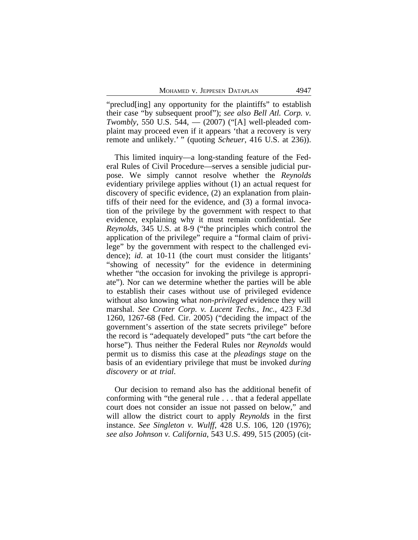"preclud[ing] any opportunity for the plaintiffs" to establish their case "by subsequent proof"); *see also Bell Atl. Corp. v. Twombly*, 550 U.S. 544, — (2007) ("[A] well-pleaded complaint may proceed even if it appears 'that a recovery is very remote and unlikely.' " (quoting *Scheuer*, 416 U.S. at 236)).

This limited inquiry—a long-standing feature of the Federal Rules of Civil Procedure—serves a sensible judicial purpose. We simply cannot resolve whether the *Reynolds* evidentiary privilege applies without (1) an actual request for discovery of specific evidence, (2) an explanation from plaintiffs of their need for the evidence, and (3) a formal invocation of the privilege by the government with respect to that evidence, explaining why it must remain confidential. *See Reynolds*, 345 U.S. at 8-9 ("the principles which control the application of the privilege" require a "formal claim of privilege" by the government with respect to the challenged evidence); *id*. at 10-11 (the court must consider the litigants' "showing of necessity" for the evidence in determining whether "the occasion for invoking the privilege is appropriate"). Nor can we determine whether the parties will be able to establish their cases without use of privileged evidence without also knowing what *non-privileged* evidence they will marshal. *See Crater Corp. v. Lucent Techs., Inc.*, 423 F.3d 1260, 1267-68 (Fed. Cir. 2005) ("deciding the impact of the government's assertion of the state secrets privilege" before the record is "adequately developed" puts "the cart before the horse"). Thus neither the Federal Rules nor *Reynolds* would permit us to dismiss this case at the *pleadings stage* on the basis of an evidentiary privilege that must be invoked *during discovery* or *at trial*.

Our decision to remand also has the additional benefit of conforming with "the general rule . . . that a federal appellate court does not consider an issue not passed on below," and will allow the district court to apply *Reynolds* in the first instance. *See Singleton v. Wulff*, 428 U.S. 106, 120 (1976); *see also Johnson v. California*, 543 U.S. 499, 515 (2005) (cit-